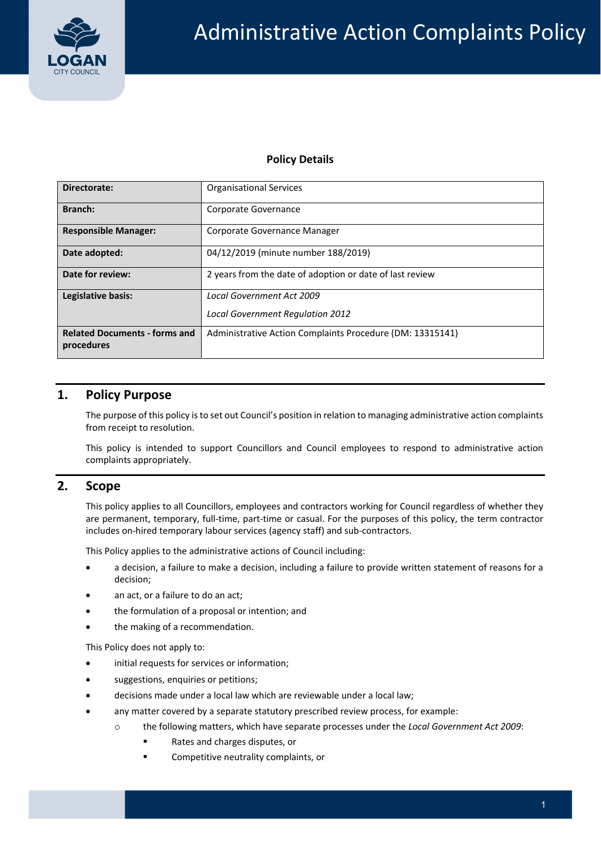

### **Policy Details**

| Directorate:                                       | <b>Organisational Services</b>                            |  |  |
|----------------------------------------------------|-----------------------------------------------------------|--|--|
| <b>Branch:</b>                                     | Corporate Governance                                      |  |  |
| <b>Responsible Manager:</b>                        | Corporate Governance Manager                              |  |  |
| Date adopted:                                      | 04/12/2019 (minute number 188/2019)                       |  |  |
| Date for review:                                   | 2 years from the date of adoption or date of last review  |  |  |
| Legislative basis:                                 | <b>Local Government Act 2009</b>                          |  |  |
|                                                    | <b>Local Government Regulation 2012</b>                   |  |  |
| <b>Related Documents - forms and</b><br>procedures | Administrative Action Complaints Procedure (DM: 13315141) |  |  |

## **1. Policy Purpose**

 The purpose of this policy isto set out Council's position in relation to managing administrative action complaints from receipt to resolution.

 This policy is intended to support Councillors and Council employees to respond to administrative action complaints appropriately.

### **2. Scope**

 This policy applies to all Councillors, employees and contractors working for Council regardless of whether they are permanent, temporary, full‐time, part‐time or casual. For the purposes of this policy, the term contractor includes on‐hired temporary labour services (agency staff) and sub‐contractors.

This Policy applies to the administrative actions of Council including:

- a decision, a failure to make a decision, including a failure to provide written statement of reasons for a decision;
- an act, or a failure to do an act;
- the formulation of a proposal or intention; and
- the making of a recommendation.

This Policy does not apply to:

- initial requests for services or information;
- **•** suggestions, enquiries or petitions;
- decisions made under a local law which are reviewable under a local law;
- any matter covered by a separate statutory prescribed review process, for example:
	- o the following matters, which have separate processes under the *Local Government Act 2009*:
		- **Rates and charges disputes, or**
		- **EXECOMPETE COMPETENTS** Complaints, or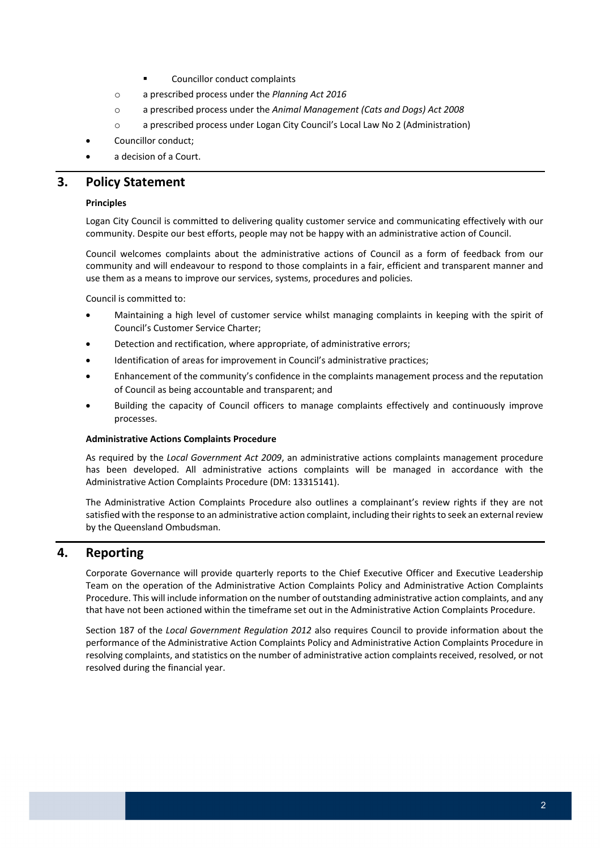- **Example 12** Councillor conduct complaints
- o a prescribed process under the *Planning Act 2016*
- o a prescribed process under the *Animal Management (Cats and Dogs) Act 2008*
- o a prescribed process under Logan City Council's Local Law No 2 (Administration)
- Councillor conduct;
- a decision of a Court.

### **3. Policy Statement**

#### **Principles**

 Logan City Council is committed to delivering quality customer service and communicating effectively with our community. Despite our best efforts, people may not be happy with an administrative action of Council.

 Council welcomes complaints about the administrative actions of Council as a form of feedback from our community and will endeavour to respond to those complaints in a fair, efficient and transparent manner and use them as a means to improve our services, systems, procedures and policies.

Council is committed to:

- Maintaining a high level of customer service whilst managing complaints in keeping with the spirit of Council's Customer Service Charter;
- Detection and rectification, where appropriate, of administrative errors;
- Identification of areas for improvement in Council's administrative practices;
- Enhancement of the community's confidence in the complaints management process and the reputation of Council as being accountable and transparent; and
- Building the capacity of Council officers to manage complaints effectively and continuously improve processes.

#### **Administrative Actions Complaints Procedure**

  As required by the *Local Government Act 2009*, an administrative actions complaints management procedure has been developed. All administrative actions complaints will be managed in accordance with the Administrative Action Complaints Procedure (DM: 13315141).

 The Administrative Action Complaints Procedure also outlines a complainant's review rights if they are not satisfied with the response to an administrative action complaint, including their rights to seek an external review by the Queensland Ombudsman.

### **4. Reporting**

 Corporate Governance will provide quarterly reports to the Chief Executive Officer and Executive Leadership Team on the operation of the Administrative Action Complaints Policy and Administrative Action Complaints Procedure. This will include information on the number of outstanding administrative action complaints, and any that have not been actioned within the timeframe set out in the Administrative Action Complaints Procedure.

  Section 187 of the *Local Government Regulation 2012* also requires Council to provide information about the performance of the Administrative Action Complaints Policy and Administrative Action Complaints Procedure in resolving complaints, and statistics on the number of administrative action complaints received, resolved, or not resolved during the financial year.